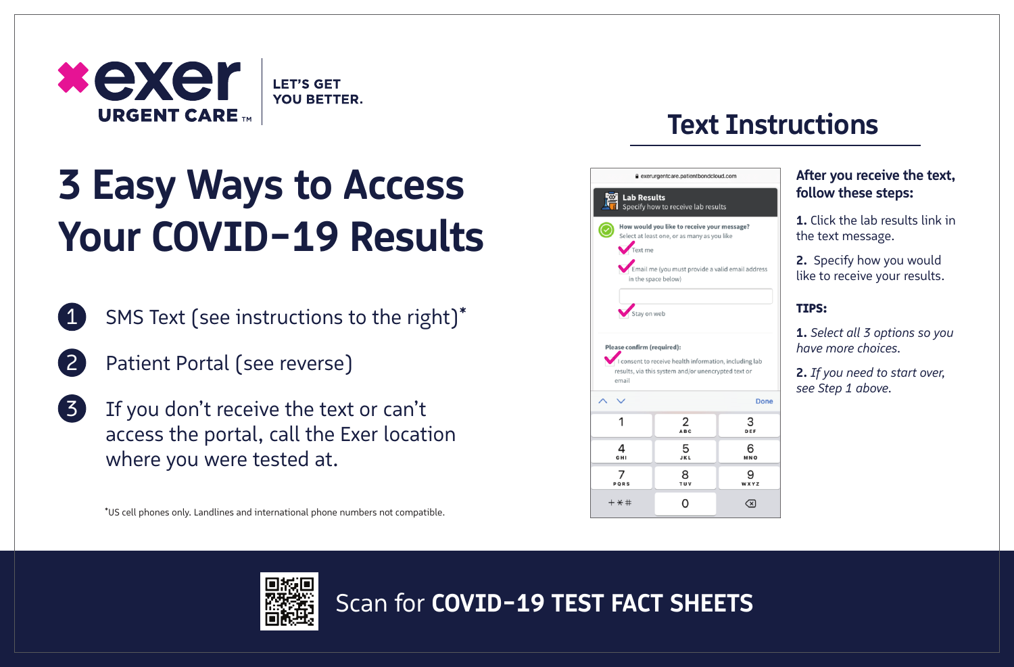

# **3 Easy Ways to Access Your COVID-19 Results**

- SMS Text (see instructions to the right)\* 1
	- Patient Portal (see reverse)

2

If you don't receive the text or can't access the portal, call the Exer location where you were tested at. 3

\*US cell phones only. Landlines and international phone numbers not compatible.

# **Text Instructions**



# **After you receive the text, follow these steps:**

**1.** Click the lab results link in the text message.

**2.** Specify how you would like to receive your results.

# TIPS:

**1.** *Select all 3 options so you have more choices.*

**2.** *If you need to start over, see Step 1 above.*